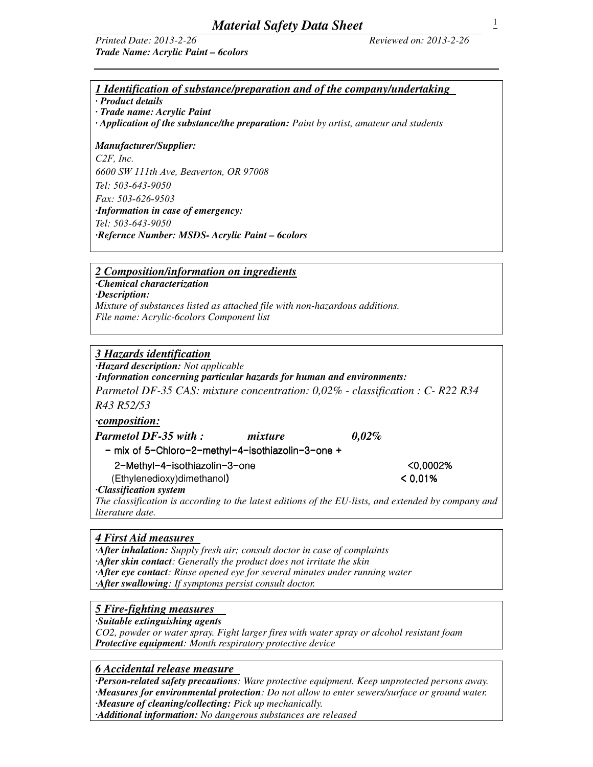### *Printed Date: 2013-2-26 Reviewed on: 2013-2-26 Trade Name: Acrylic Paint – 6colors*

*1 Identification of substance/preparation and of the company/undertaking* 

*· Product details* 

*· Trade name: Acrylic Paint* 

*· Application of the substance/the preparation: Paint by artist, amateur and students* 

### *Manufacturer/Supplier:*

*C2F, Inc. 6600 SW 111th Ave, Beaverton, OR 97008 Tel: 503-643-9050 Fax: 503-626-9503 ·Information in case of emergency: Tel: 503-643-9050 ·Refernce Number: MSDS- Acrylic Paint – 6colors* 

*2 Composition/information on ingredients*

*·Chemical characterization* 

*·Description:* 

*Mixture of substances listed as attached file with non-hazardous additions. File name: Acrylic-6colors Component list* 

## *3 Hazards identification*

*·Hazard description: Not applicable* 

*·Information concerning particular hazards for human and environments:* 

*Parmetol DF-35 CAS: mixture concentration: 0,02% - classification : C- R22 R34 R43 R52/53* 

*·composition:*

*Parmetol DF-35 with : mixture 0,02%* 

- mix of 5-Chloro-2-methyl-4-isothiazolin-3-one +

 $2$ -Methyl-4-isothiazolin-3-one can be called the control control control control control control control control control control control control control control control control control control control control custom contr

 $(Ethylene, diox)$ dimethanol)  $0.01\%$ *·Classification system* 

*The classification is according to the latest editions of the EU-lists, and extended by company and literature date.* 

### *4 First Aid measures*

*·After inhalation: Supply fresh air; consult doctor in case of complaints ·After skin contact: Generally the product does not irritate the skin ·After eye contact: Rinse opened eye for several minutes under running water ·After swallowing: If symptoms persist consult doctor.* 

# *5 Fire-fighting measures*

*·Suitable extinguishing agents* 

*CO2, powder or water spray. Fight larger fires with water spray or alcohol resistant foam Protective equipment: Month respiratory protective device* 

### *6 Accidental release measure*

*·Person-related safety precautions: Ware protective equipment. Keep unprotected persons away. ·Measures for environmental protection: Do not allow to enter sewers/surface or ground water.* 

*·Measure of cleaning/collecting: Pick up mechanically. ·Additional information: No dangerous substances are released*  1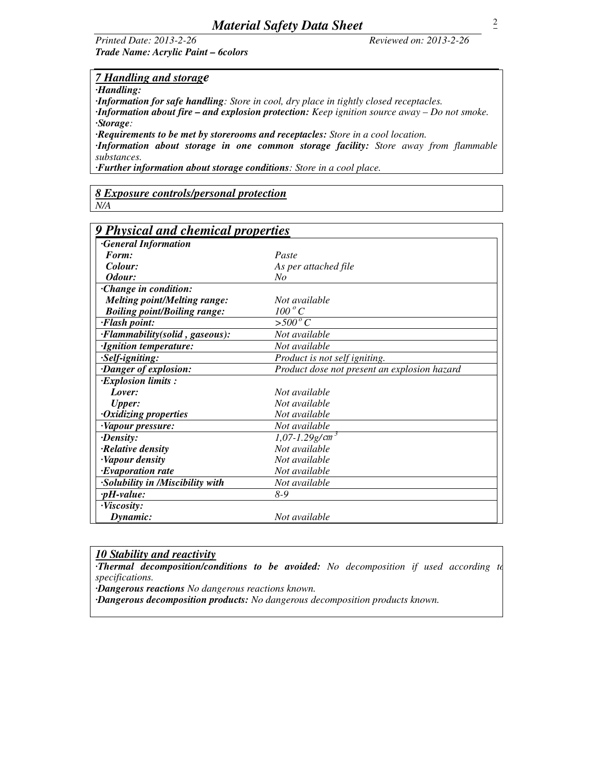## *Printed Date: 2013-2-26 Reviewed on: 2013-2-26 Trade Name: Acrylic Paint – 6colors*

## *7 Handling and storage*

*·Handling:* 

*·Information for safe handling: Store in cool, dry place in tightly closed receptacles. ·Information about fire – and explosion protection: Keep ignition source away – Do not smoke.* 

*·Storage:* 

*·Requirements to be met by storerooms and receptacles: Store in a cool location.* 

*·Information about storage in one common storage facility: Store away from flammable substances.* 

*·Further information about storage conditions: Store in a cool place.* 

# *8 Exposure controls/personal protection*

*N/A* 

| 9 Physical and chemical properties               |                                              |  |  |  |
|--------------------------------------------------|----------------------------------------------|--|--|--|
| <b>General Information</b>                       |                                              |  |  |  |
| Form:                                            | Paste                                        |  |  |  |
| Colour:                                          | As per attached file                         |  |  |  |
| Odour:                                           | $N_{O}$                                      |  |  |  |
| Change in condition:                             |                                              |  |  |  |
| <b>Melting point/Melting range:</b>              | Not available                                |  |  |  |
| <b>Boiling point/Boiling range:</b>              | $100\degree C$                               |  |  |  |
| <b>Flash point:</b>                              | $>500^{\circ}$ C                             |  |  |  |
| $\overline{\cdot}$ Flammability(solid, gaseous): | Not available                                |  |  |  |
| ·Ignition temperature:                           | Not available                                |  |  |  |
| ·Self-igniting:                                  | Product is not self igniting.                |  |  |  |
| Danger of explosion:                             | Product dose not present an explosion hazard |  |  |  |
| $\cdot$ Explosion limits :                       |                                              |  |  |  |
| Lover:                                           | Not available                                |  |  |  |
| <b>Upper:</b>                                    | Not available                                |  |  |  |
| ·Oxidizing properties                            | Not available                                |  |  |  |
| ·Vapour pressure:                                | Not available                                |  |  |  |
| $\cdot$ <i>Density:</i>                          | $1,07 - 1.29$ g/cm <sup>3</sup>              |  |  |  |
| Relative density                                 | Not available                                |  |  |  |
| ·Vapour density                                  | Not available                                |  |  |  |
| <b>Evaporation rate</b>                          | Not available                                |  |  |  |
| ·Solubility in /Miscibility with                 | Not available                                |  |  |  |
| $\nu H-value$ :                                  | $8-9$                                        |  |  |  |
| $\cdot$ Viscosity:                               |                                              |  |  |  |
| Dynamic:                                         | Not available                                |  |  |  |

### *10 Stability and reactivity*

*·Thermal decomposition/conditions to be avoided: No decomposition if used according to specifications.* 

*·Dangerous reactions No dangerous reactions known.* 

*·Dangerous decomposition products: No dangerous decomposition products known.*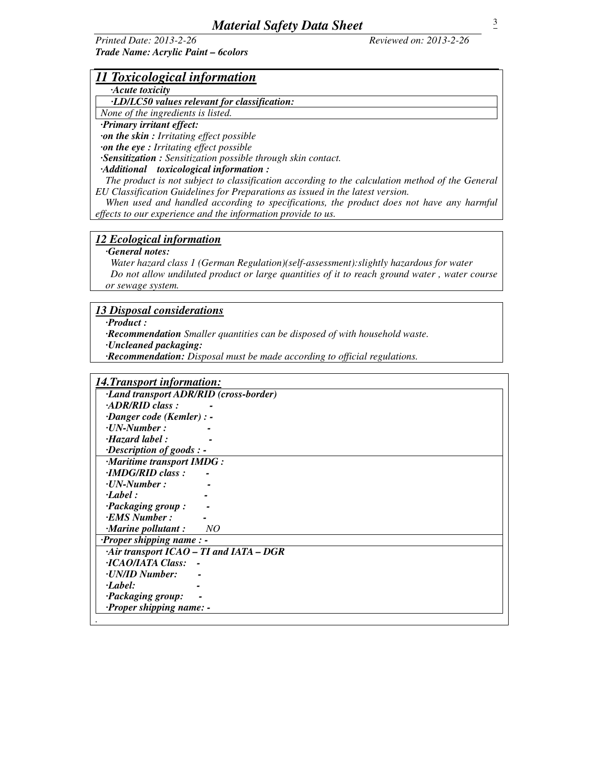*Printed Date: 2013-2-26 Reviewed on: 2013-2-26 Trade Name: Acrylic Paint – 6colors* 

| 11 Toxicological information |  |  |
|------------------------------|--|--|
|                              |  |  |

# *·Acute toxicity*

 *·LD/LC50 values relevant for classification:* 

*None of the ingredients is listed. ·Primary irritant effect:* 

 *·on the skin : Irritating effect possible* 

*·on the eye : Irritating effect possible* 

*·Sensitization : Sensitization possible through skin contact.* 

*·Additional toxicological information :* 

 *The product is not subject to classification according to the calculation method of the General EU Classification Guidelines for Preparations as issued in the latest version.* 

When used and handled according to specifications, the product does not have any harmful *effects to our experience and the information provide to us.* 

### *12 Ecological information*

 *·General notes:* 

 *Water hazard class 1 (German Regulation)(self-assessment):slightly hazardous for water Do not allow undiluted product or large quantities of it to reach ground water , water course or sewage system.* 

### *13 Disposal considerations*

 *·Product :* 

 *·Recommendation Smaller quantities can be disposed of with household waste.* 

 *·Uncleaned packaging:* 

 *·Recommendation: Disposal must be made according to official regulations.* 

| <b>14. Transport information:</b>      |
|----------------------------------------|
| ·Land transport ADR/RID (cross-border) |
| $\cdot$ ADR/RID class:                 |
| $\cdot$ Danger code (Kemler) : -       |
| $\cdot$ UN-Number:                     |
| $\cdot$ Hazard label:                  |
| $\cdot$ Description of goods : -       |
| ·Maritime transport IMDG:              |
| $\cdot$ <i>IMDG/RID class:</i>         |
| $\cdot$ UN-Number:                     |
| $\cdot$ Label:                         |
| $\cdot$ Packaging group:               |
| $\cdot$ <i>EMS Number</i> :            |
| $\cdot$ Marine pollutant:<br>NO        |
| $\cdot$ Proper shipping name: -        |
| Air transport ICAO - TI and IATA - DGR |
| $\cdot$ ICAO/IATA Class: -             |
| <b><i>CONAID Number:</i></b>           |
| $\cdot$ <i>Label</i> :                 |
| <i>Packaging group:</i>                |
| <i>Proper shipping name: -</i>         |
|                                        |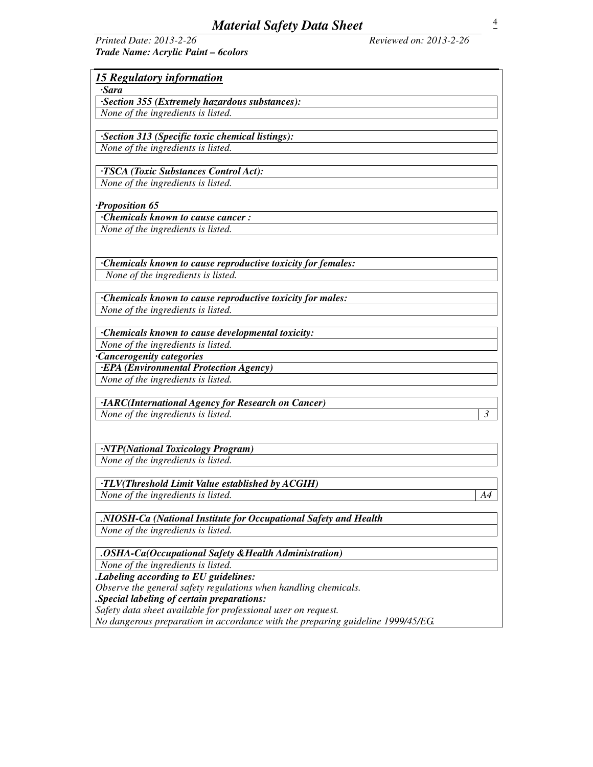| Printed Date: 2013-2-26             |  |
|-------------------------------------|--|
| Trade Name: Acrylic Paint - 6colors |  |

*Printed Date: 2013-2-26 Reviewed on: 2013-2-26* 

| <b>15 Regulatory information</b>                                 |
|------------------------------------------------------------------|
| ·Sara                                                            |
| ·Section 355 (Extremely hazardous substances):                   |
| None of the ingredients is listed.                               |
|                                                                  |
| ·Section 313 (Specific toxic chemical listings):                 |
| None of the ingredients is listed.                               |
|                                                                  |
| <b>TSCA</b> (Toxic Substances Control Act):                      |
| None of the ingredients is listed.                               |
|                                                                  |
| Proposition 65                                                   |
| Chemicals known to cause cancer:                                 |
| None of the ingredients is listed.                               |
|                                                                  |
|                                                                  |
| Chemicals known to cause reproductive toxicity for females:      |
| None of the ingredients is listed.                               |
|                                                                  |
| Chemicals known to cause reproductive toxicity for males:        |
| None of the ingredients is listed.                               |
|                                                                  |
| Chemicals known to cause developmental toxicity:                 |
| None of the ingredients is listed.                               |
| Cancerogenity categories                                         |
| <b>·EPA</b> (Environmental Protection Agency)                    |
| None of the ingredients is listed.                               |
|                                                                  |
| ·IARC(International Agency for Research on Cancer)               |
| $\overline{3}$<br>None of the ingredients is listed.             |
|                                                                  |
|                                                                  |
| ·NTP(National Toxicology Program)                                |
| None of the ingredients is listed.                               |
| <b>TLV(Threshold Limit Value established by ACGIH)</b>           |
| None of the ingredients is listed.<br>A4                         |
|                                                                  |
| .NIOSH-Ca (National Institute for Occupational Safety and Health |
| None of the ingredients is listed.                               |
|                                                                  |
| .OSHA-Ca(Occupational Safety & Health Administration)            |
| None of the ingredients is listed.                               |
| .Labeling according to EU guidelines:                            |
| Observe the general safety regulations when handling chemicals.  |
| .Special labeling of certain preparations:                       |
| Safety data sheet available for professional user on request.    |

*No dangerous preparation in accordance with the preparing guideline 1999/45/EG.*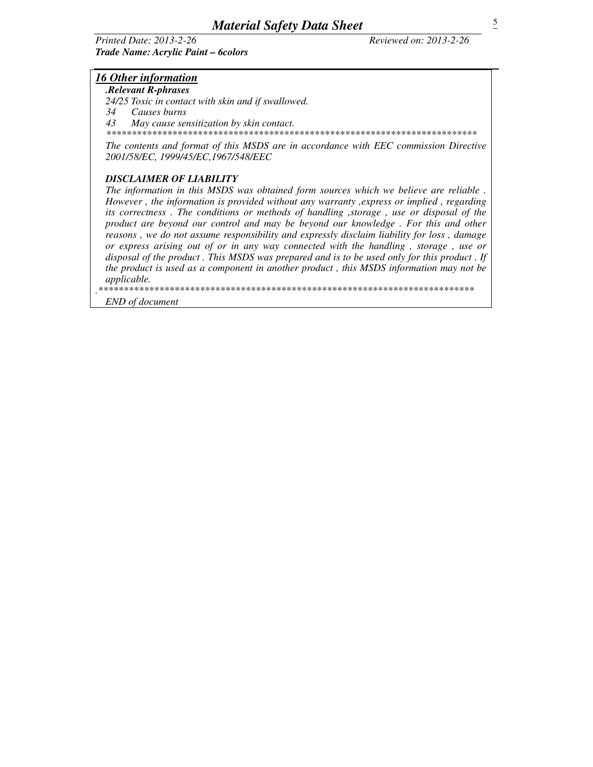### **Printed Date: 2013-2-26** Trade Name: Acrylic Paint - 6colors

Reviewed on: 2013-2-26

## **16 Other information**

.Relevant R-phrases

24/25 Toxic in contact with skin and if swallowed.

34 Causes burns

 $4<sub>3</sub>$ May cause sensitization by skin contact.

The contents and format of this MSDS are in accordance with EEC commission Directive 2001/58/EC. 1999/45/EC.1967/548/EEC

## **DISCLAIMER OF LIABILITY**

The information in this MSDS was obtained form sources which we believe are reliable. However, the information is provided without any warranty, express or implied, regarding its correctness. The conditions or methods of handling, storage, use or disposal of the product are beyond our control and may be beyond our knowledge. For this and other reasons, we do not assume responsibility and expressly disclaim liability for loss, damage or express arising out of or in any way connected with the handling, storage, use or disposal of the product. This MSDS was prepared and is to be used only for this product. If the product is used as a component in another product, this MSDS information may not be applicable.

\*\*\*\*

**END** of document